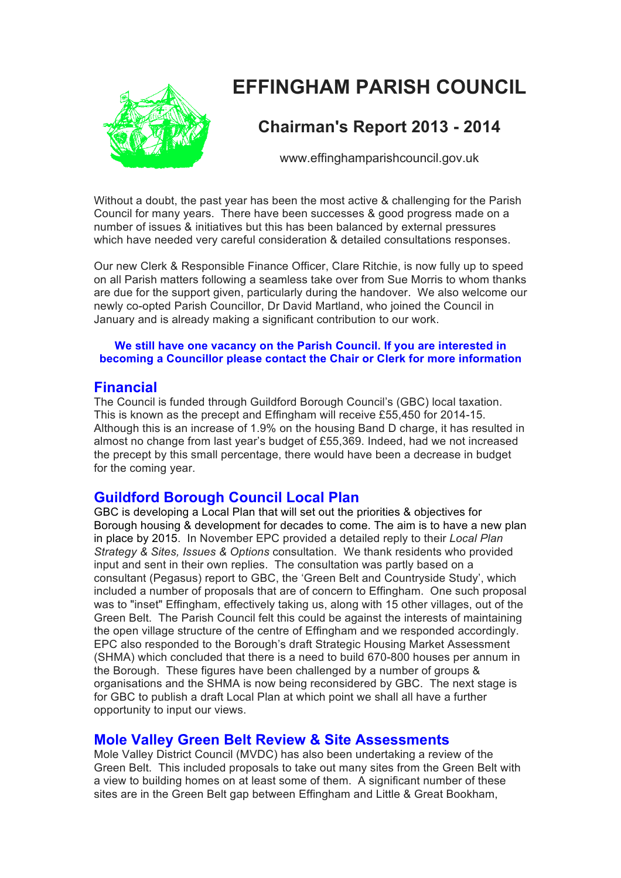# **EFFINGHAM PARISH COUNCIL**



# **Chairman's Report 2013 - 2014**

www.effinghamparishcouncil.gov.uk

Without a doubt, the past year has been the most active & challenging for the Parish Council for many years. There have been successes & good progress made on a number of issues & initiatives but this has been balanced by external pressures which have needed very careful consideration & detailed consultations responses.

Our new Clerk & Responsible Finance Officer, Clare Ritchie, is now fully up to speed on all Parish matters following a seamless take over from Sue Morris to whom thanks are due for the support given, particularly during the handover. We also welcome our newly co-opted Parish Councillor, Dr David Martland, who joined the Council in January and is already making a significant contribution to our work.

#### **We still have one vacancy on the Parish Council. If you are interested in becoming a Councillor please contact the Chair or Clerk for more information**

## **Financial**

The Council is funded through Guildford Borough Council's (GBC) local taxation. This is known as the precept and Effingham will receive £55,450 for 2014-15. Although this is an increase of 1.9% on the housing Band D charge, it has resulted in almost no change from last year's budget of £55,369. Indeed, had we not increased the precept by this small percentage, there would have been a decrease in budget for the coming year.

# **Guildford Borough Council Local Plan**

GBC is developing a Local Plan that will set out the priorities & objectives for Borough housing & development for decades to come. The aim is to have a new plan in place by 2015. In November EPC provided a detailed reply to their *Local Plan Strategy & Sites, Issues & Options* consultation. We thank residents who provided input and sent in their own replies. The consultation was partly based on a consultant (Pegasus) report to GBC, the 'Green Belt and Countryside Study', which included a number of proposals that are of concern to Effingham. One such proposal was to "inset" Effingham, effectively taking us, along with 15 other villages, out of the Green Belt. The Parish Council felt this could be against the interests of maintaining the open village structure of the centre of Effingham and we responded accordingly. EPC also responded to the Borough's draft Strategic Housing Market Assessment (SHMA) which concluded that there is a need to build 670-800 houses per annum in the Borough. These figures have been challenged by a number of groups & organisations and the SHMA is now being reconsidered by GBC. The next stage is for GBC to publish a draft Local Plan at which point we shall all have a further opportunity to input our views.

# **Mole Valley Green Belt Review & Site Assessments**

Mole Valley District Council (MVDC) has also been undertaking a review of the Green Belt. This included proposals to take out many sites from the Green Belt with a view to building homes on at least some of them. A significant number of these sites are in the Green Belt gap between Effingham and Little & Great Bookham,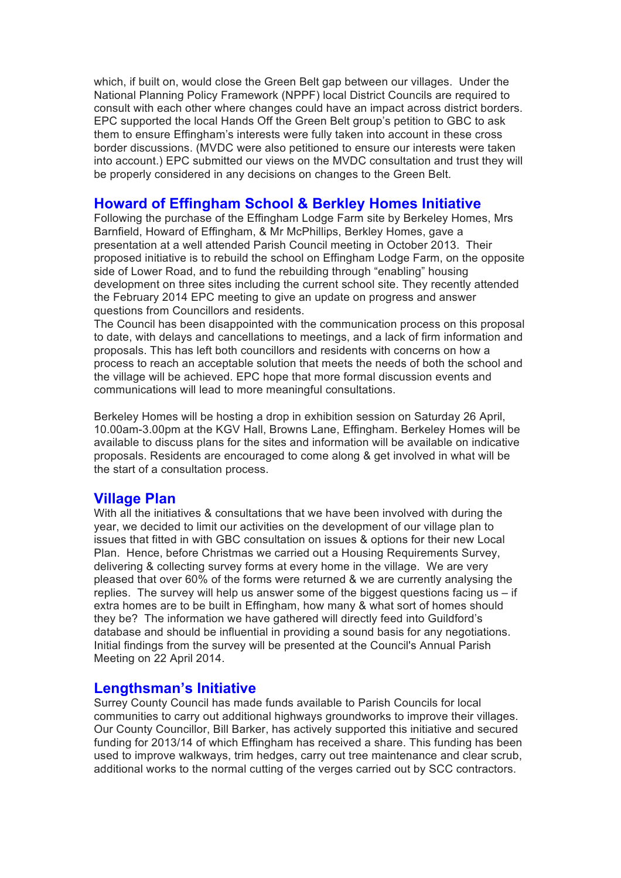which, if built on, would close the Green Belt gap between our villages. Under the National Planning Policy Framework (NPPF) local District Councils are required to consult with each other where changes could have an impact across district borders. EPC supported the local Hands Off the Green Belt group's petition to GBC to ask them to ensure Effingham's interests were fully taken into account in these cross border discussions. (MVDC were also petitioned to ensure our interests were taken into account.) EPC submitted our views on the MVDC consultation and trust they will be properly considered in any decisions on changes to the Green Belt.

## **Howard of Effingham School & Berkley Homes Initiative**

Following the purchase of the Effingham Lodge Farm site by Berkeley Homes, Mrs Barnfield, Howard of Effingham, & Mr McPhillips, Berkley Homes, gave a presentation at a well attended Parish Council meeting in October 2013. Their proposed initiative is to rebuild the school on Effingham Lodge Farm, on the opposite side of Lower Road, and to fund the rebuilding through "enabling" housing development on three sites including the current school site. They recently attended the February 2014 EPC meeting to give an update on progress and answer questions from Councillors and residents.

The Council has been disappointed with the communication process on this proposal to date, with delays and cancellations to meetings, and a lack of firm information and proposals. This has left both councillors and residents with concerns on how a process to reach an acceptable solution that meets the needs of both the school and the village will be achieved. EPC hope that more formal discussion events and communications will lead to more meaningful consultations.

Berkeley Homes will be hosting a drop in exhibition session on Saturday 26 April, 10.00am-3.00pm at the KGV Hall, Browns Lane, Effingham. Berkeley Homes will be available to discuss plans for the sites and information will be available on indicative proposals. Residents are encouraged to come along & get involved in what will be the start of a consultation process.

#### **Village Plan**

With all the initiatives & consultations that we have been involved with during the year, we decided to limit our activities on the development of our village plan to issues that fitted in with GBC consultation on issues & options for their new Local Plan. Hence, before Christmas we carried out a Housing Requirements Survey, delivering & collecting survey forms at every home in the village. We are very pleased that over 60% of the forms were returned & we are currently analysing the replies. The survey will help us answer some of the biggest questions facing us  $-$  if extra homes are to be built in Effingham, how many & what sort of homes should they be? The information we have gathered will directly feed into Guildford's database and should be influential in providing a sound basis for any negotiations. Initial findings from the survey will be presented at the Council's Annual Parish Meeting on 22 April 2014.

#### **Lengthsman's Initiative**

Surrey County Council has made funds available to Parish Councils for local communities to carry out additional highways groundworks to improve their villages. Our County Councillor, Bill Barker, has actively supported this initiative and secured funding for 2013/14 of which Effingham has received a share. This funding has been used to improve walkways, trim hedges, carry out tree maintenance and clear scrub, additional works to the normal cutting of the verges carried out by SCC contractors.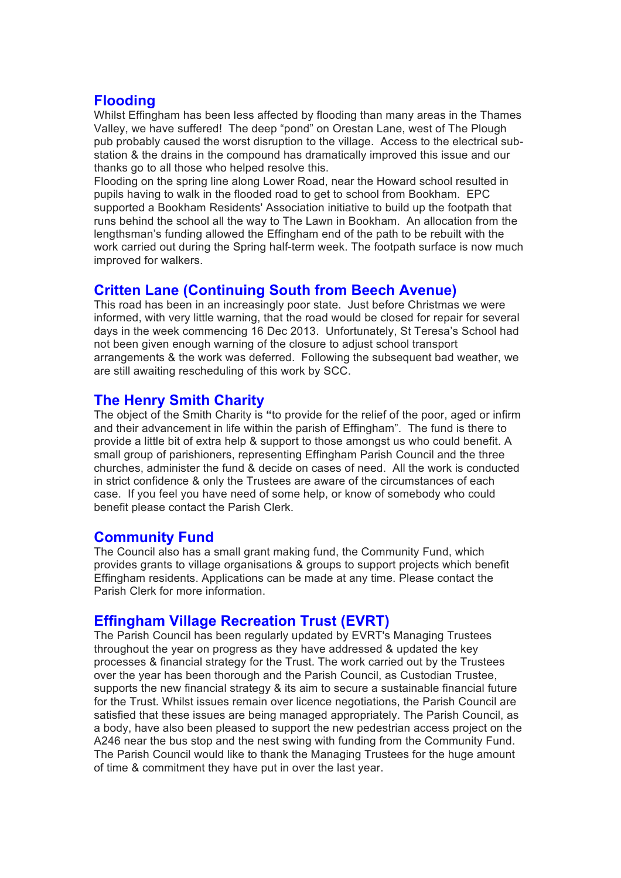# **Flooding**

Whilst Effingham has been less affected by flooding than many areas in the Thames Valley, we have suffered! The deep "pond" on Orestan Lane, west of The Plough pub probably caused the worst disruption to the village. Access to the electrical substation & the drains in the compound has dramatically improved this issue and our thanks go to all those who helped resolve this.

Flooding on the spring line along Lower Road, near the Howard school resulted in pupils having to walk in the flooded road to get to school from Bookham. EPC supported a Bookham Residents' Association initiative to build up the footpath that runs behind the school all the way to The Lawn in Bookham. An allocation from the lengthsman's funding allowed the Effingham end of the path to be rebuilt with the work carried out during the Spring half-term week. The footpath surface is now much improved for walkers.

## **Critten Lane (Continuing South from Beech Avenue)**

This road has been in an increasingly poor state. Just before Christmas we were informed, with very little warning, that the road would be closed for repair for several days in the week commencing 16 Dec 2013. Unfortunately, St Teresa's School had not been given enough warning of the closure to adjust school transport arrangements & the work was deferred. Following the subsequent bad weather, we are still awaiting rescheduling of this work by SCC.

# **The Henry Smith Charity**

The object of the Smith Charity is **"**to provide for the relief of the poor, aged or infirm and their advancement in life within the parish of Effingham". The fund is there to provide a little bit of extra help & support to those amongst us who could benefit. A small group of parishioners, representing Effingham Parish Council and the three churches, administer the fund & decide on cases of need. All the work is conducted in strict confidence & only the Trustees are aware of the circumstances of each case. If you feel you have need of some help, or know of somebody who could benefit please contact the Parish Clerk.

## **Community Fund**

The Council also has a small grant making fund, the Community Fund, which provides grants to village organisations & groups to support projects which benefit Effingham residents. Applications can be made at any time. Please contact the Parish Clerk for more information.

## **Effingham Village Recreation Trust (EVRT)**

The Parish Council has been regularly updated by EVRT's Managing Trustees throughout the year on progress as they have addressed & updated the key processes & financial strategy for the Trust. The work carried out by the Trustees over the year has been thorough and the Parish Council, as Custodian Trustee, supports the new financial strategy & its aim to secure a sustainable financial future for the Trust. Whilst issues remain over licence negotiations, the Parish Council are satisfied that these issues are being managed appropriately. The Parish Council, as a body, have also been pleased to support the new pedestrian access project on the A246 near the bus stop and the nest swing with funding from the Community Fund. The Parish Council would like to thank the Managing Trustees for the huge amount of time & commitment they have put in over the last year.